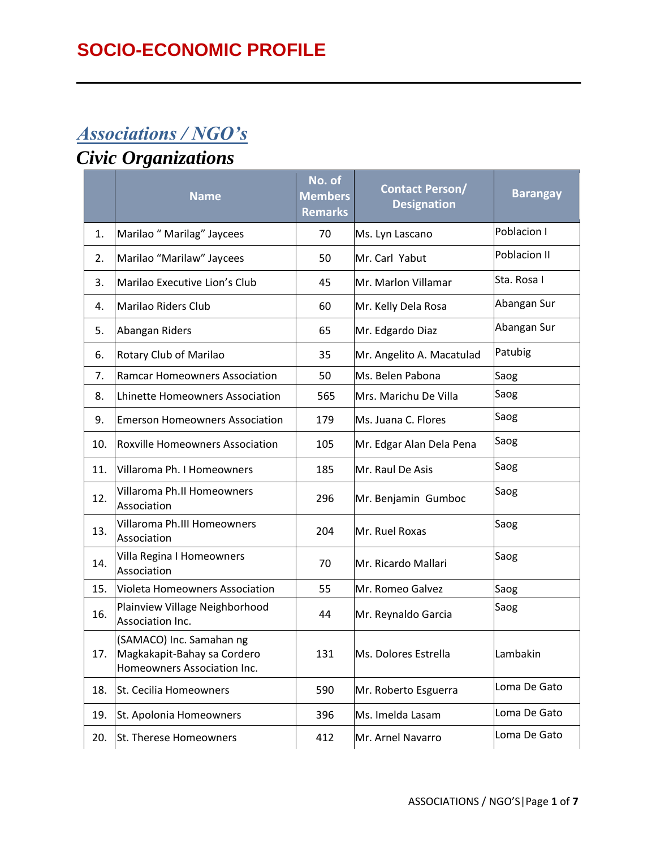# *Associations / NGO's*

# *Civic Organizations*

|     | <b>Name</b>                                                                            | No. of<br><b>Members</b><br><b>Remarks</b> | <b>Contact Person/</b><br><b>Designation</b> | <b>Barangay</b> |
|-----|----------------------------------------------------------------------------------------|--------------------------------------------|----------------------------------------------|-----------------|
| 1.  | Marilao " Marilag" Jaycees                                                             | 70                                         | Ms. Lyn Lascano                              | Poblacion I     |
| 2.  | Marilao "Marilaw" Jaycees                                                              | 50                                         | Mr. Carl Yabut                               | Poblacion II    |
| 3.  | Marilao Executive Lion's Club                                                          | 45                                         | Mr. Marlon Villamar                          | Sta. Rosa I     |
| 4.  | Marilao Riders Club                                                                    | 60                                         | Mr. Kelly Dela Rosa                          | Abangan Sur     |
| 5.  | Abangan Riders                                                                         | 65                                         | Mr. Edgardo Diaz                             | Abangan Sur     |
| 6.  | Rotary Club of Marilao                                                                 | 35                                         | Mr. Angelito A. Macatulad                    | Patubig         |
| 7.  | <b>Ramcar Homeowners Association</b>                                                   | 50                                         | Ms. Belen Pabona                             | Saog            |
| 8.  | Lhinette Homeowners Association                                                        | 565                                        | Mrs. Marichu De Villa                        | Saog            |
| 9.  | <b>Emerson Homeowners Association</b>                                                  | 179                                        | Ms. Juana C. Flores                          | Saog            |
| 10. | <b>Roxville Homeowners Association</b>                                                 | 105                                        | Mr. Edgar Alan Dela Pena                     | Saog            |
| 11. | Villaroma Ph. I Homeowners                                                             | 185                                        | Mr. Raul De Asis                             | Saog            |
| 12. | Villaroma Ph.II Homeowners<br>Association                                              | 296                                        | Mr. Benjamin Gumboc                          | Saog            |
| 13. | Villaroma Ph.III Homeowners<br>Association                                             | 204                                        | Mr. Ruel Roxas                               | Saog            |
| 14. | Villa Regina I Homeowners<br>Association                                               | 70                                         | Mr. Ricardo Mallari                          | Saog            |
| 15. | <b>Violeta Homeowners Association</b>                                                  | 55                                         | Mr. Romeo Galvez                             | Saog            |
| 16. | Plainview Village Neighborhood<br>Association Inc.                                     | 44                                         | Mr. Reynaldo Garcia                          | Saog            |
| 17. | (SAMACO) Inc. Samahan ng<br>Magkakapit-Bahay sa Cordero<br>Homeowners Association Inc. | 131                                        | Ms. Dolores Estrella                         | Lambakin        |
| 18. | St. Cecilia Homeowners                                                                 | 590                                        | Mr. Roberto Esguerra                         | Loma De Gato    |
| 19. | St. Apolonia Homeowners                                                                | 396                                        | Ms. Imelda Lasam                             | Loma De Gato    |
| 20. | St. Therese Homeowners                                                                 | 412                                        | Mr. Arnel Navarro                            | Loma De Gato    |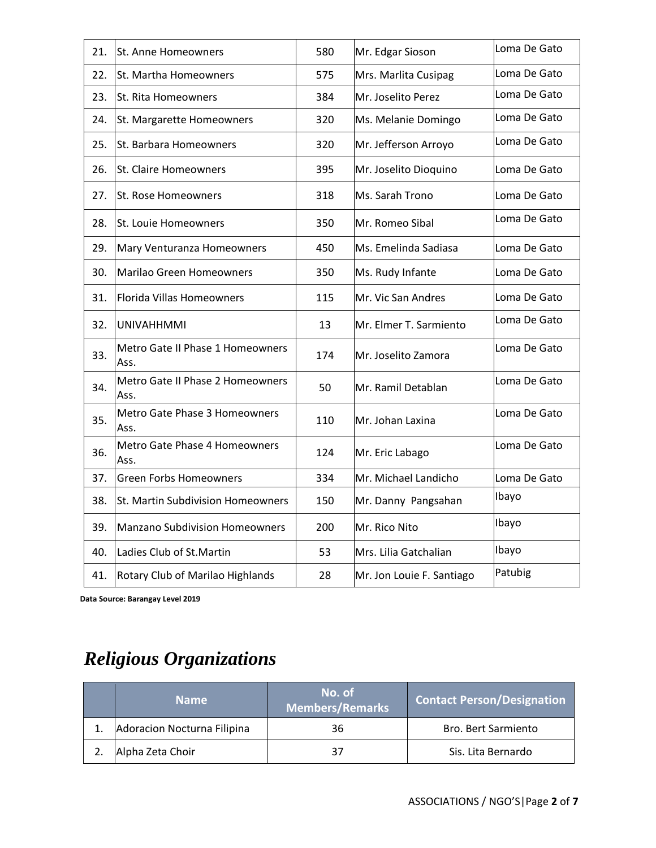| 21. | St. Anne Homeowners                      | 580 | Mr. Edgar Sioson          | Loma De Gato |
|-----|------------------------------------------|-----|---------------------------|--------------|
| 22. | St. Martha Homeowners                    | 575 | Mrs. Marlita Cusipag      | Loma De Gato |
| 23. | St. Rita Homeowners                      | 384 | Mr. Joselito Perez        | Loma De Gato |
| 24. | St. Margarette Homeowners                | 320 | Ms. Melanie Domingo       | Loma De Gato |
| 25. | St. Barbara Homeowners                   | 320 | Mr. Jefferson Arroyo      | Loma De Gato |
| 26. | St. Claire Homeowners                    | 395 | Mr. Joselito Dioquino     | Loma De Gato |
| 27. | St. Rose Homeowners                      | 318 | Ms. Sarah Trono           | Loma De Gato |
| 28. | St. Louie Homeowners                     | 350 | Mr. Romeo Sibal           | Loma De Gato |
| 29. | Mary Venturanza Homeowners               | 450 | Ms. Emelinda Sadiasa      | Loma De Gato |
| 30. | Marilao Green Homeowners                 | 350 | Ms. Rudy Infante          | Loma De Gato |
| 31. | <b>Florida Villas Homeowners</b>         | 115 | Mr. Vic San Andres        | Loma De Gato |
| 32. | <b>UNIVAHHMMI</b>                        | 13  | Mr. Elmer T. Sarmiento    | Loma De Gato |
| 33. | Metro Gate II Phase 1 Homeowners<br>Ass. | 174 | Mr. Joselito Zamora       | Loma De Gato |
| 34. | Metro Gate II Phase 2 Homeowners<br>Ass. | 50  | Mr. Ramil Detablan        | Loma De Gato |
| 35. | Metro Gate Phase 3 Homeowners<br>Ass.    | 110 | Mr. Johan Laxina          | Loma De Gato |
| 36. | Metro Gate Phase 4 Homeowners<br>Ass.    | 124 | Mr. Eric Labago           | Loma De Gato |
| 37. | <b>Green Forbs Homeowners</b>            | 334 | Mr. Michael Landicho      | Loma De Gato |
| 38. | St. Martin Subdivision Homeowners        | 150 | Mr. Danny Pangsahan       | Ibayo        |
| 39. | Manzano Subdivision Homeowners           | 200 | Mr. Rico Nito             | Ibayo        |
| 40. | Ladies Club of St. Martin                | 53  | Mrs. Lilia Gatchalian     | Ibayo        |
| 41. | Rotary Club of Marilao Highlands         | 28  | Mr. Jon Louie F. Santiago | Patubig      |

 **Data Source: Barangay Level 2019**

# *Religious Organizations*

| <b>Name</b>                 | No. of<br><b>Members/Remarks</b> | <b>Contact Person/Designation</b> |
|-----------------------------|----------------------------------|-----------------------------------|
| Adoracion Nocturna Filipina | 36                               | <b>Bro. Bert Sarmiento</b>        |
| Alpha Zeta Choir            | 37                               | Sis. Lita Bernardo                |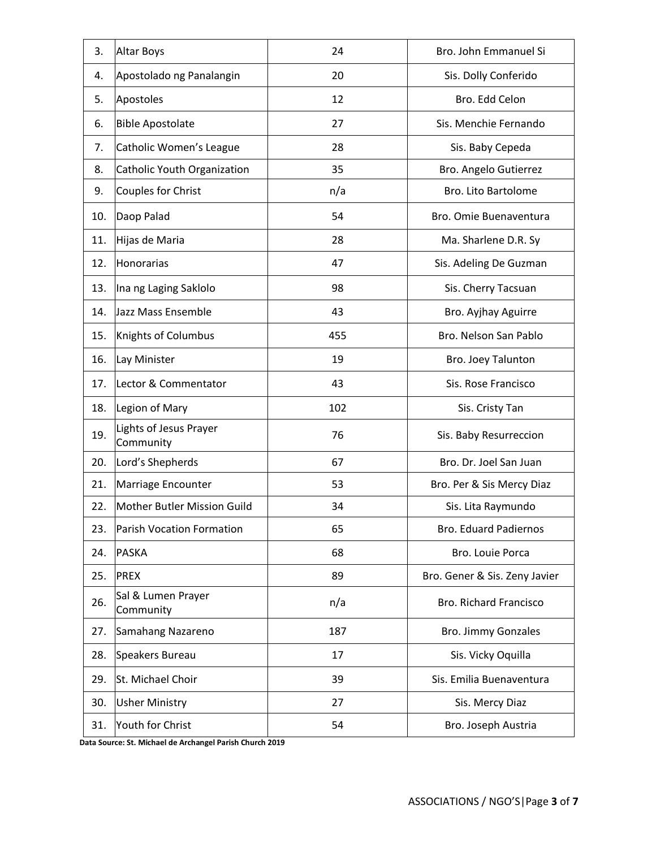| 3.  | <b>Altar Boys</b>                   | 24  | Bro. John Emmanuel Si         |
|-----|-------------------------------------|-----|-------------------------------|
| 4.  | Apostolado ng Panalangin            | 20  | Sis. Dolly Conferido          |
| 5.  | Apostoles                           | 12  | Bro. Edd Celon                |
| 6.  | <b>Bible Apostolate</b>             | 27  | Sis. Menchie Fernando         |
| 7.  | Catholic Women's League             | 28  | Sis. Baby Cepeda              |
| 8.  | Catholic Youth Organization         | 35  | Bro. Angelo Gutierrez         |
| 9.  | Couples for Christ                  | n/a | Bro. Lito Bartolome           |
| 10. | Daop Palad                          | 54  | Bro. Omie Buenaventura        |
| 11. | Hijas de Maria                      | 28  | Ma. Sharlene D.R. Sy          |
| 12. | <b>Honorarias</b>                   | 47  | Sis. Adeling De Guzman        |
| 13. | Ina ng Laging Saklolo               | 98  | Sis. Cherry Tacsuan           |
| 14. | Jazz Mass Ensemble                  | 43  | Bro. Ayjhay Aguirre           |
| 15. | Knights of Columbus                 | 455 | Bro. Nelson San Pablo         |
| 16. | Lay Minister                        | 19  | Bro. Joey Talunton            |
| 17. | Lector & Commentator                | 43  | Sis. Rose Francisco           |
| 18. | Legion of Mary                      | 102 | Sis. Cristy Tan               |
| 19. | Lights of Jesus Prayer<br>Community | 76  | Sis. Baby Resurreccion        |
| 20. | Lord's Shepherds                    | 67  | Bro. Dr. Joel San Juan        |
| 21. | Marriage Encounter                  | 53  | Bro. Per & Sis Mercy Diaz     |
| 22. | Mother Butler Mission Guild         | 34  | Sis. Lita Raymundo            |
| 23. | Parish Vocation Formation           | 65  | <b>Bro. Eduard Padiernos</b>  |
| 24. | <b>PASKA</b>                        | 68  | Bro. Louie Porca              |
| 25. | <b>PREX</b>                         | 89  | Bro. Gener & Sis. Zeny Javier |
| 26. | Sal & Lumen Prayer<br>Community     | n/a | Bro. Richard Francisco        |
| 27. | Samahang Nazareno                   | 187 | Bro. Jimmy Gonzales           |
| 28. | Speakers Bureau                     | 17  | Sis. Vicky Oquilla            |
| 29. | St. Michael Choir                   | 39  | Sis. Emilia Buenaventura      |
| 30. | <b>Usher Ministry</b>               | 27  | Sis. Mercy Diaz               |
| 31. | Youth for Christ                    | 54  | Bro. Joseph Austria           |
|     |                                     |     |                               |

**Data Source: St. Michael de Archangel Parish Church 2019**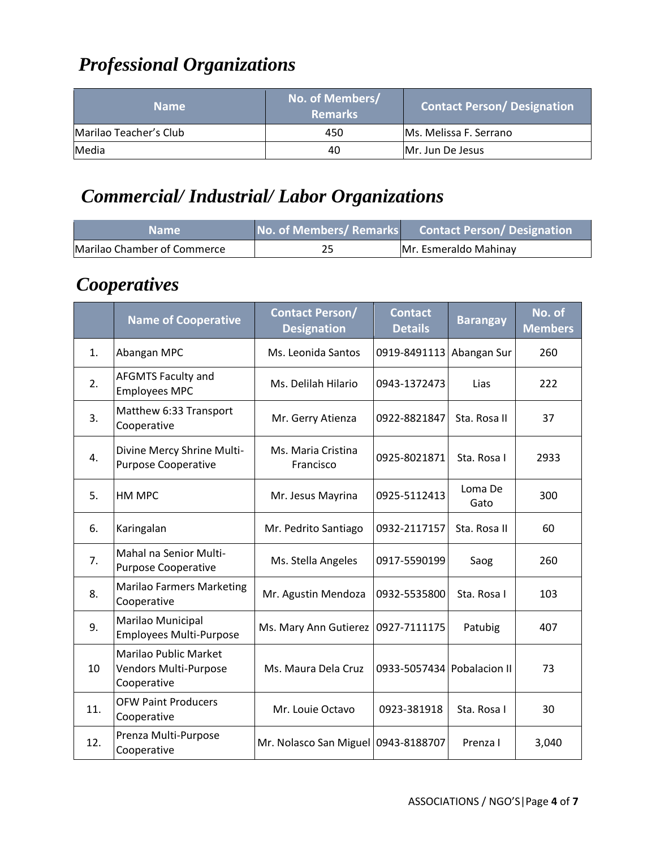## *Professional Organizations*

| <b>Name</b>            | No. of Members/<br><b>Remarks</b> | <b>Contact Person/Designation</b> |
|------------------------|-----------------------------------|-----------------------------------|
| Marilao Teacher's Club | 450                               | Ms. Melissa F. Serrano            |
| Media                  | 40                                | IMr. Jun De Jesus                 |

#### *Commercial/ Industrial/ Labor Organizations*

| Name '                      | No. of Members/ Remarks | Contact Person/Designation |
|-----------------------------|-------------------------|----------------------------|
| Marilao Chamber of Commerce | 25                      | Mr. Esmeraldo Mahinay      |

#### *Cooperatives*

|                | <b>Name of Cooperative</b>                                           | <b>Contact Person/</b><br><b>Designation</b> | <b>Contact</b><br><b>Details</b> | <b>Barangay</b> | No. of<br><b>Members</b> |
|----------------|----------------------------------------------------------------------|----------------------------------------------|----------------------------------|-----------------|--------------------------|
| $\mathbf{1}$ . | Abangan MPC                                                          | Ms. Leonida Santos                           | 0919-8491113                     | Abangan Sur     | 260                      |
| 2.             | <b>AFGMTS Faculty and</b><br><b>Employees MPC</b>                    | Ms. Delilah Hilario                          | 0943-1372473                     | Lias            | 222                      |
| 3.             | Matthew 6:33 Transport<br>Cooperative                                | Mr. Gerry Atienza                            | 0922-8821847                     | Sta. Rosa II    | 37                       |
| 4.             | Divine Mercy Shrine Multi-<br><b>Purpose Cooperative</b>             | Ms. Maria Cristina<br>Francisco              | 0925-8021871                     | Sta. Rosa I     | 2933                     |
| 5.             | HM MPC                                                               | Mr. Jesus Mayrina                            | 0925-5112413                     | Loma De<br>Gato | 300                      |
| 6.             | Karingalan                                                           | Mr. Pedrito Santiago                         | 0932-2117157                     | Sta. Rosa II    | 60                       |
| 7.             | Mahal na Senior Multi-<br><b>Purpose Cooperative</b>                 | Ms. Stella Angeles                           | 0917-5590199                     | Saog            | 260                      |
| 8.             | <b>Marilao Farmers Marketing</b><br>Cooperative                      | Mr. Agustin Mendoza                          | 0932-5535800                     | Sta. Rosa I     | 103                      |
| 9.             | Marilao Municipal<br><b>Employees Multi-Purpose</b>                  | Ms. Mary Ann Gutierez                        | 0927-7111175                     | Patubig         | 407                      |
| 10             | <b>Marilao Public Market</b><br>Vendors Multi-Purpose<br>Cooperative | Ms. Maura Dela Cruz                          | 0933-5057434 Pobalacion II       |                 | 73                       |
| 11.            | <b>OFW Paint Producers</b><br>Cooperative                            | Mr. Louie Octavo                             | 0923-381918                      | Sta. Rosa I     | 30                       |
| 12.            | Prenza Multi-Purpose<br>Cooperative                                  | Mr. Nolasco San Miguel 0943-8188707          |                                  | Prenza I        | 3,040                    |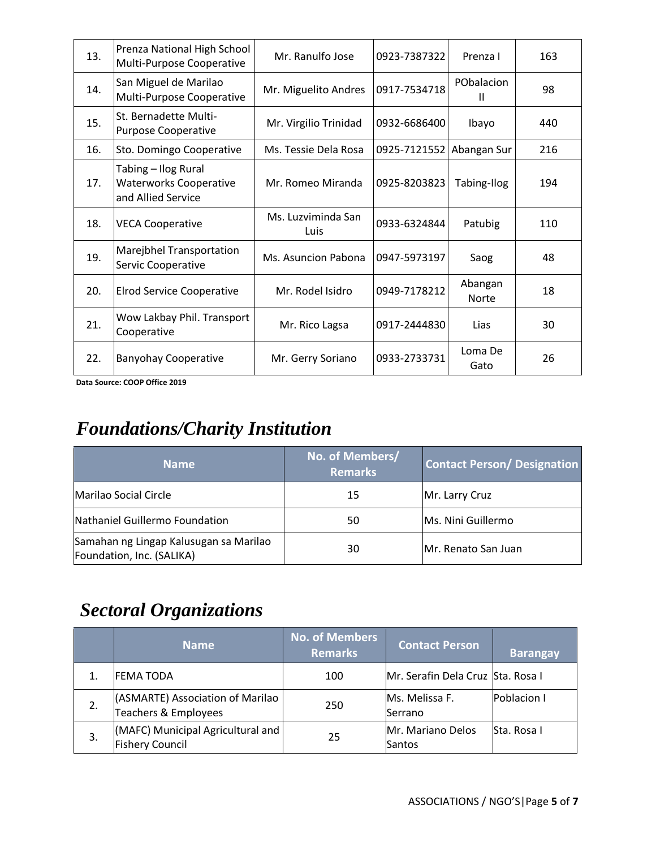| 13. | Prenza National High School<br>Multi-Purpose Cooperative                   | Mr. Ranulfo Jose           | 0923-7387322 | Prenza I                | 163 |
|-----|----------------------------------------------------------------------------|----------------------------|--------------|-------------------------|-----|
| 14. | San Miguel de Marilao<br>Multi-Purpose Cooperative                         | Mr. Miguelito Andres       | 0917-7534718 | PObalacion<br>Ш         | 98  |
| 15. | St. Bernadette Multi-<br><b>Purpose Cooperative</b>                        | Mr. Virgilio Trinidad      | 0932-6686400 | Ibayo                   | 440 |
| 16. | Sto. Domingo Cooperative                                                   | Ms. Tessie Dela Rosa       | 0925-7121552 | Abangan Sur             | 216 |
| 17. | Tabing - Ilog Rural<br><b>Waterworks Cooperative</b><br>and Allied Service | Mr. Romeo Miranda          | 0925-8203823 | Tabing-Ilog             | 194 |
| 18. | <b>VECA Cooperative</b>                                                    | Ms. Luzviminda San<br>Luis | 0933-6324844 | Patubig                 | 110 |
| 19. | Marejbhel Transportation<br>Servic Cooperative                             | Ms. Asuncion Pabona        | 0947-5973197 | Saog                    | 48  |
| 20. | <b>Elrod Service Cooperative</b>                                           | Mr. Rodel Isidro           | 0949-7178212 | Abangan<br><b>Norte</b> | 18  |
| 21. | Wow Lakbay Phil. Transport<br>Cooperative                                  | Mr. Rico Lagsa             | 0917-2444830 | Lias                    | 30  |
| 22. | <b>Banyohay Cooperative</b>                                                | Mr. Gerry Soriano          | 0933-2733731 | Loma De<br>Gato         | 26  |

**Data Source: COOP Office 2019**

## *Foundations/Charity Institution*

| 'Name                                                               | No. of Members/<br><b>Remarks</b> | <b>Contact Person/Designation</b> |
|---------------------------------------------------------------------|-----------------------------------|-----------------------------------|
| Marilao Social Circle                                               | 15                                | Mr. Larry Cruz                    |
| Nathaniel Guillermo Foundation                                      | 50                                | Ms. Nini Guillermo                |
| Samahan ng Lingap Kalusugan sa Marilao<br>Foundation, Inc. (SALIKA) | 30                                | Mr. Renato San Juan               |

### *Sectoral Organizations*

|    | <b>Name</b>                                                 | <b>No. of Members</b><br><b>Remarks</b> | <b>Contact Person</b>             | <b>Barangay</b> |
|----|-------------------------------------------------------------|-----------------------------------------|-----------------------------------|-----------------|
|    | <b>FEMA TODA</b>                                            | 100                                     | Mr. Serafin Dela Cruz Sta. Rosa I |                 |
| 2. | (ASMARTE) Association of Marilao<br>Teachers & Employees    | 250                                     | Ms. Melissa F.<br>lSerrano        | Poblacion I     |
| 3. | (MAFC) Municipal Agricultural and<br><b>Fishery Council</b> | 25                                      | Mr. Mariano Delos<br>Santos       | lSta. Rosa I    |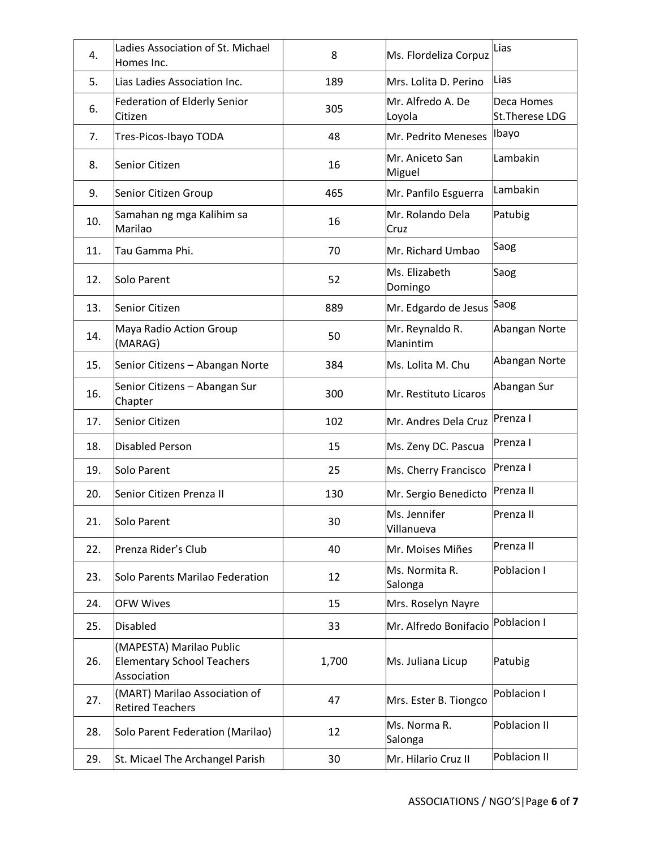| 4.  | Ladies Association of St. Michael<br>Homes Inc.                              | 8     | Ms. Flordeliza Corpuz       | Lias                         |
|-----|------------------------------------------------------------------------------|-------|-----------------------------|------------------------------|
| 5.  | Lias Ladies Association Inc.                                                 | 189   | Mrs. Lolita D. Perino       | Lias                         |
| 6.  | Federation of Elderly Senior<br>Citizen                                      | 305   | Mr. Alfredo A. De<br>Loyola | Deca Homes<br>St.Therese LDG |
| 7.  | Tres-Picos-Ibayo TODA                                                        | 48    | Mr. Pedrito Meneses         | Ibayo                        |
| 8.  | Senior Citizen                                                               | 16    | Mr. Aniceto San<br>Miguel   | Lambakin                     |
| 9.  | Senior Citizen Group                                                         | 465   | Mr. Panfilo Esguerra        | Lambakin                     |
| 10. | Samahan ng mga Kalihim sa<br>Marilao                                         | 16    | Mr. Rolando Dela<br>Cruz    | Patubig                      |
| 11. | Tau Gamma Phi.                                                               | 70    | Mr. Richard Umbao           | Saog                         |
| 12. | Solo Parent                                                                  | 52    | Ms. Elizabeth<br>Domingo    | Saog                         |
| 13. | <b>Senior Citizen</b>                                                        | 889   | Mr. Edgardo de Jesus        | Saog                         |
| 14. | Maya Radio Action Group<br>(MARAG)                                           | 50    | Mr. Reynaldo R.<br>Manintim | Abangan Norte                |
| 15. | Senior Citizens - Abangan Norte                                              | 384   | Ms. Lolita M. Chu           | Abangan Norte                |
| 16. | Senior Citizens - Abangan Sur<br>Chapter                                     | 300   | Mr. Restituto Licaros       | Abangan Sur                  |
| 17. | Senior Citizen                                                               | 102   | Mr. Andres Dela Cruz        | Prenza I                     |
| 18. | <b>Disabled Person</b>                                                       | 15    | Ms. Zeny DC. Pascua         | lPrenza I                    |
| 19. | Solo Parent                                                                  | 25    | Ms. Cherry Francisco        | Prenza I                     |
| 20. | Senior Citizen Prenza II                                                     | 130   | Mr. Sergio Benedicto        | Prenza II                    |
| 21. | Solo Parent                                                                  | 30    | Ms. Jennifer<br>Villanueva  | Prenza II                    |
| 22. | Prenza Rider's Club                                                          | 40    | Mr. Moises Miñes            | Prenza II                    |
| 23. | Solo Parents Marilao Federation                                              | 12    | Ms. Normita R.<br>Salonga   | Poblacion I                  |
| 24. | <b>OFW Wives</b>                                                             | 15    | Mrs. Roselyn Nayre          |                              |
| 25. | <b>Disabled</b>                                                              | 33    | Mr. Alfredo Bonifacio       | Poblacion I                  |
| 26. | (MAPESTA) Marilao Public<br><b>Elementary School Teachers</b><br>Association | 1,700 | Ms. Juliana Licup           | Patubig                      |
| 27. | (MART) Marilao Association of<br><b>Retired Teachers</b>                     | 47    | Mrs. Ester B. Tiongco       | Poblacion I                  |
| 28. | Solo Parent Federation (Marilao)                                             | 12    | Ms. Norma R.<br>Salonga     | Poblacion II                 |
| 29. | St. Micael The Archangel Parish                                              | 30    | Mr. Hilario Cruz II         | Poblacion II                 |